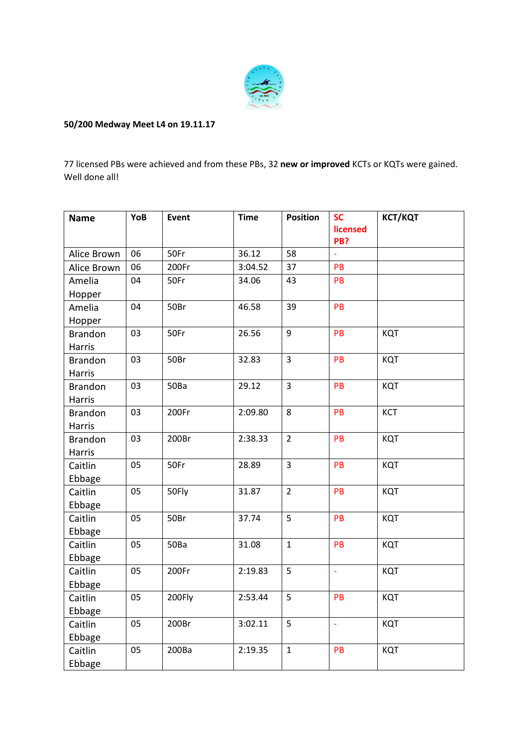

## **50/200 Medway Meet L4 on 19.11.17**

77 licensed PBs were achieved and from these PBs, 32 **new or improved** KCTs or KQTs were gained. Well done all!

| <b>Name</b>    | YoB | Event  | <b>Time</b> | <b>Position</b> | <b>SC</b>       | <b>КСТ/КQT</b> |
|----------------|-----|--------|-------------|-----------------|-----------------|----------------|
|                |     |        |             |                 | licensed<br>PB? |                |
| Alice Brown    | 06  | 50Fr   | 36.12       | 58              |                 |                |
| Alice Brown    | 06  | 200Fr  | 3:04.52     | 37              | PB              |                |
| Amelia         | 04  | 50Fr   | 34.06       | 43              | PB              |                |
| Hopper         |     |        |             |                 |                 |                |
| Amelia         | 04  | 50Br   | 46.58       | 39              | PB              |                |
| Hopper         |     |        |             |                 |                 |                |
| <b>Brandon</b> | 03  | 50Fr   | 26.56       | 9               | PB              | KQT            |
| <b>Harris</b>  |     |        |             |                 |                 |                |
| <b>Brandon</b> | 03  | 50Br   | 32.83       | $\overline{3}$  | PB              | KQT            |
| Harris         |     |        |             |                 |                 |                |
| <b>Brandon</b> | 03  | 50Ba   | 29.12       | $\overline{3}$  | PB              | KQT            |
| Harris         |     |        |             |                 |                 |                |
| <b>Brandon</b> | 03  | 200Fr  | 2:09.80     | 8               | PB              | <b>KCT</b>     |
| Harris         |     |        |             |                 |                 |                |
| <b>Brandon</b> | 03  | 200Br  | 2:38.33     | $\overline{2}$  | PB              | KQT            |
| Harris         |     |        |             |                 |                 |                |
| Caitlin        | 05  | 50Fr   | 28.89       | $\overline{3}$  | PB              | KQT            |
| Ebbage         |     |        |             |                 |                 |                |
| Caitlin        | 05  | 50Fly  | 31.87       | $\overline{2}$  | PB              | KQT            |
| Ebbage         |     |        |             |                 |                 |                |
| Caitlin        | 05  | 50Br   | 37.74       | 5               | PB              | KQT            |
| Ebbage         |     |        |             |                 |                 |                |
| Caitlin        | 05  | 50Ba   | 31.08       | $\mathbf{1}$    | PB              | KQT            |
| Ebbage         |     |        |             |                 |                 |                |
| Caitlin        | 05  | 200Fr  | 2:19.83     | 5               | $\mathbb{Z}^2$  | KQT            |
| Ebbage         |     |        |             |                 |                 |                |
| Caitlin        | 05  | 200Fly | 2:53.44     | 5               | PB              | KQT            |
| Ebbage         |     |        |             |                 |                 |                |
| Caitlin        | 05  | 200Br  | 3:02.11     | 5               | ÷,              | KQT            |
| Ebbage         |     |        |             |                 |                 |                |
| Caitlin        | 05  | 200Ba  | 2:19.35     | $\mathbf{1}$    | PB              | KQT            |
| Ebbage         |     |        |             |                 |                 |                |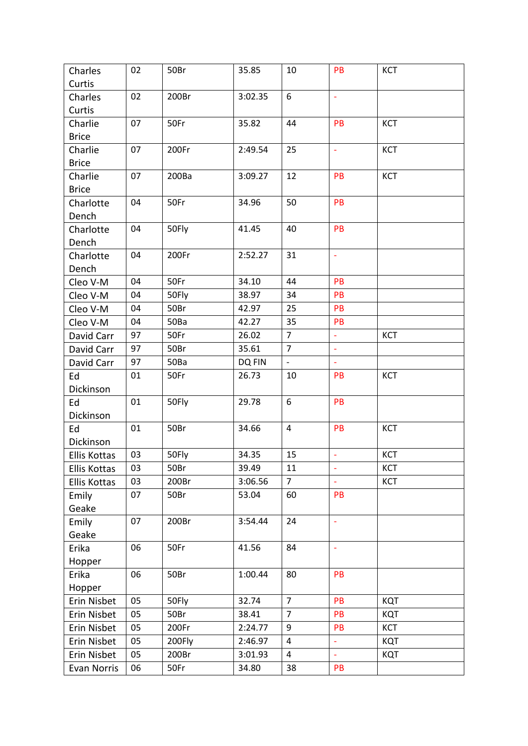| Charles             | 02 | 50Br   | 35.85   | 10                       | PB                       | KCT        |
|---------------------|----|--------|---------|--------------------------|--------------------------|------------|
| Curtis              |    |        |         |                          |                          |            |
| Charles             | 02 | 200Br  | 3:02.35 | 6                        | $\blacksquare$           |            |
| Curtis              |    |        |         |                          |                          |            |
| Charlie             | 07 | 50Fr   | 35.82   | 44                       | PB                       | <b>KCT</b> |
| <b>Brice</b>        |    |        |         |                          |                          |            |
| Charlie             | 07 | 200Fr  | 2:49.54 | 25                       | $\blacksquare$           | KCT        |
| <b>Brice</b>        |    |        |         |                          |                          |            |
| Charlie             | 07 | 200Ba  | 3:09.27 | 12                       | PB                       | <b>KCT</b> |
| <b>Brice</b>        |    |        |         |                          |                          |            |
| Charlotte           | 04 | 50Fr   | 34.96   | 50                       | PB                       |            |
| Dench               |    |        |         |                          |                          |            |
| Charlotte           | 04 | 50Fly  | 41.45   | 40                       | PB                       |            |
| Dench               |    |        |         |                          |                          |            |
| Charlotte           | 04 | 200Fr  | 2:52.27 | 31                       | $\overline{\phantom{a}}$ |            |
| Dench               |    |        |         |                          |                          |            |
| Cleo V-M            | 04 | 50Fr   | 34.10   | 44                       | PB                       |            |
| Cleo V-M            | 04 | 50Fly  | 38.97   | 34                       | PB                       |            |
| Cleo V-M            | 04 | 50Br   | 42.97   | 25                       | PB                       |            |
| Cleo V-M            | 04 | 50Ba   | 42.27   | 35                       | PB                       |            |
| David Carr          | 97 | 50Fr   | 26.02   | $\overline{7}$           | $\omega$                 | <b>KCT</b> |
| David Carr          | 97 | 50Br   | 35.61   | $\overline{7}$           | $\omega$                 |            |
| David Carr          | 97 | 50Ba   | DQ FIN  | $\overline{\phantom{a}}$ | $\omega$                 |            |
| Ed                  | 01 | 50Fr   | 26.73   | 10                       | PB                       | <b>KCT</b> |
| Dickinson           |    |        |         |                          |                          |            |
| Ed                  | 01 | 50Fly  | 29.78   | 6                        | PB                       |            |
| Dickinson           |    |        |         |                          |                          |            |
| Ed                  | 01 | 50Br   | 34.66   | 4                        | PB                       | KCT        |
| Dickinson           |    |        |         |                          |                          |            |
| <b>Ellis Kottas</b> | 03 | 50Fly  | 34.35   | 15                       | $\omega$                 | <b>KCT</b> |
| Ellis Kottas        | 03 | 50Br   | 39.49   | 11                       | $\overline{\phantom{a}}$ | <b>KCT</b> |
| Ellis Kottas        | 03 | 200Br  | 3:06.56 | $\overline{7}$           | $\omega$                 | KCT        |
| Emily               | 07 | 50Br   | 53.04   | 60                       | <b>PB</b>                |            |
| Geake               |    |        |         |                          |                          |            |
| Emily               | 07 | 200Br  | 3:54.44 | 24                       | $\Box$                   |            |
| Geake               |    |        |         |                          |                          |            |
| Erika               | 06 | 50Fr   | 41.56   | 84                       | $\Box$                   |            |
| Hopper              |    |        |         |                          |                          |            |
| Erika               | 06 | 50Br   | 1:00.44 | 80                       | PB                       |            |
| Hopper              |    |        |         |                          |                          |            |
| Erin Nisbet         | 05 | 50Fly  | 32.74   | $\overline{7}$           | PB                       | KQT        |
| Erin Nisbet         | 05 | 50Br   | 38.41   | $\overline{7}$           | PB                       | KQT        |
| Erin Nisbet         | 05 | 200Fr  | 2:24.77 | 9                        | PB                       | <b>KCT</b> |
| Erin Nisbet         | 05 | 200Fly | 2:46.97 | 4                        | ä,                       | KQT        |
| Erin Nisbet         | 05 | 200Br  | 3:01.93 | 4                        | $\Box$                   | KQT        |
| Evan Norris         | 06 | 50Fr   | 34.80   | 38                       | PB                       |            |
|                     |    |        |         |                          |                          |            |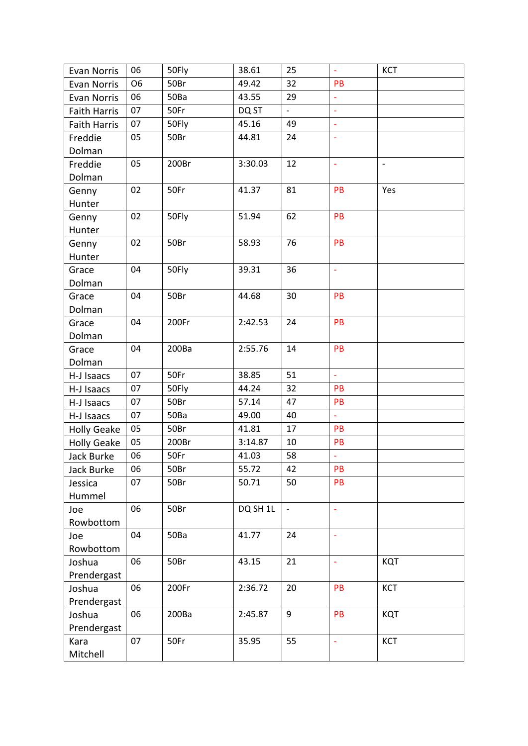| Evan Norris         | 06             | 50Fly | 38.61    | 25                       | $\overline{\phantom{a}}$ | <b>KCT</b>               |
|---------------------|----------------|-------|----------|--------------------------|--------------------------|--------------------------|
| Evan Norris         | O <sub>6</sub> | 50Br  | 49.42    | 32                       | PB                       |                          |
| Evan Norris         | 06             | 50Ba  | 43.55    | 29                       | $\equiv$                 |                          |
| <b>Faith Harris</b> | 07             | 50Fr  | DQ ST    | $\equiv$                 | $\mathbf{r}$             |                          |
| <b>Faith Harris</b> | 07             | 50Fly | 45.16    | 49                       | $\omega$                 |                          |
| Freddie             | 05             | 50Br  | 44.81    | 24                       | ÷,                       |                          |
| Dolman              |                |       |          |                          |                          |                          |
| Freddie             | 05             | 200Br | 3:30.03  | 12                       | ÷,                       | $\overline{\phantom{a}}$ |
| Dolman              |                |       |          |                          |                          |                          |
| Genny               | 02             | 50Fr  | 41.37    | 81                       | PB                       | Yes                      |
| Hunter              |                |       |          |                          |                          |                          |
| Genny               | 02             | 50Fly | 51.94    | 62                       | PB                       |                          |
| Hunter              |                |       |          |                          |                          |                          |
| Genny               | 02             | 50Br  | 58.93    | 76                       | PB                       |                          |
| Hunter              |                |       |          |                          |                          |                          |
| Grace               | 04             | 50Fly | 39.31    | 36                       | $\Box$                   |                          |
| Dolman              |                |       |          |                          |                          |                          |
| Grace               | 04             | 50Br  | 44.68    | 30                       | PB                       |                          |
| Dolman              |                |       |          |                          |                          |                          |
| Grace               | 04             | 200Fr | 2:42.53  | 24                       | PB                       |                          |
| Dolman              |                |       |          |                          |                          |                          |
| Grace               | 04             | 200Ba | 2:55.76  | 14                       | PB                       |                          |
| Dolman              |                |       |          |                          |                          |                          |
| H-J Isaacs          | 07             | 50Fr  | 38.85    | 51                       | $\omega$                 |                          |
| H-J Isaacs          | 07             | 50Fly | 44.24    | 32                       | PB                       |                          |
| H-J Isaacs          | 07             | 50Br  | 57.14    | 47                       | PB                       |                          |
| H-J Isaacs          | 07             | 50Ba  | 49.00    | 40                       | $\Box$                   |                          |
| <b>Holly Geake</b>  | 05             | 50Br  | 41.81    | 17                       | PB                       |                          |
| <b>Holly Geake</b>  | 05             | 200Br | 3:14.87  | 10                       | PB                       |                          |
| <b>Jack Burke</b>   | 06             | 50Fr  | 41.03    | 58                       | $\blacksquare$           |                          |
| Jack Burke          | 06             | 50Br  | 55.72    | 42                       | PB                       |                          |
| Jessica             | 07             | 50Br  | 50.71    | 50                       | PB                       |                          |
| Hummel              |                |       |          |                          |                          |                          |
| Joe                 | 06             | 50Br  | DQ SH 1L | $\overline{\phantom{a}}$ | $\overline{\phantom{a}}$ |                          |
| Rowbottom           |                |       |          |                          |                          |                          |
| Joe                 | 04             | 50Ba  | 41.77    | 24                       | $\overline{\phantom{a}}$ |                          |
| Rowbottom           |                |       |          |                          |                          |                          |
| Joshua              | 06             | 50Br  | 43.15    | 21                       | $\overline{\phantom{a}}$ | KQT                      |
| Prendergast         |                |       |          |                          |                          |                          |
| Joshua              | 06             | 200Fr | 2:36.72  | 20                       | PB                       | KCT                      |
| Prendergast         |                |       |          |                          |                          |                          |
| Joshua              | 06             | 200Ba | 2:45.87  | 9                        | PB                       | KQT                      |
| Prendergast         |                |       |          |                          |                          |                          |
| Kara                | 07             | 50Fr  | 35.95    | 55                       | $\omega$                 | <b>KCT</b>               |
| Mitchell            |                |       |          |                          |                          |                          |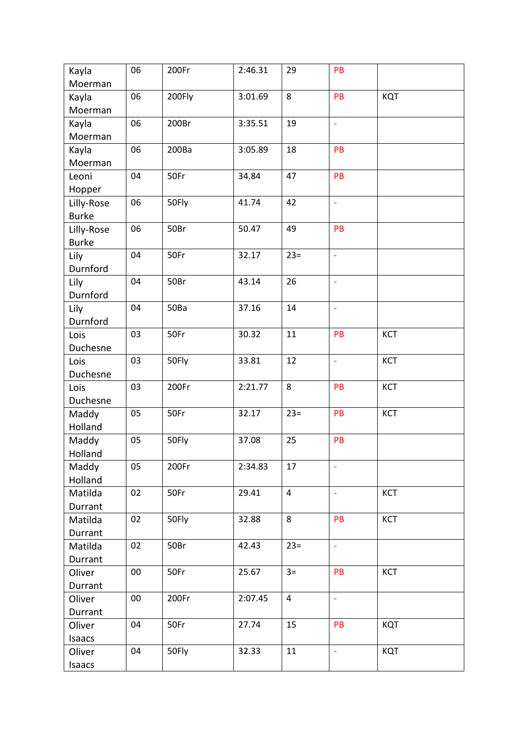| Kayla        | 06     | 200Fr  | 2:46.31 | 29             | PB                       |            |
|--------------|--------|--------|---------|----------------|--------------------------|------------|
| Moerman      |        |        |         |                |                          |            |
| Kayla        | 06     | 200Fly | 3:01.69 | 8              | PB                       | KQT        |
| Moerman      |        |        |         |                |                          |            |
| Kayla        | 06     | 200Br  | 3:35.51 | 19             | $\blacksquare$           |            |
| Moerman      |        |        |         |                |                          |            |
| Kayla        | 06     | 200Ba  | 3:05.89 | 18             | PB                       |            |
| Moerman      |        |        |         |                |                          |            |
| Leoni        | 04     | 50Fr   | 34.84   | 47             | PB                       |            |
| Hopper       |        |        |         |                |                          |            |
| Lilly-Rose   | 06     | 50Fly  | 41.74   | 42             | $\Box$                   |            |
| <b>Burke</b> |        |        |         |                |                          |            |
| Lilly-Rose   | 06     | 50Br   | 50.47   | 49             | PB                       |            |
| <b>Burke</b> |        |        |         |                |                          |            |
| Lily         | 04     | 50Fr   | 32.17   | $23=$          | $\overline{\phantom{a}}$ |            |
| Durnford     |        |        |         |                |                          |            |
| Lily         | 04     | 50Br   | 43.14   | 26             | $\blacksquare$           |            |
| Durnford     |        |        |         |                |                          |            |
| Lily         | 04     | 50Ba   | 37.16   | 14             | $\overline{\phantom{a}}$ |            |
| Durnford     |        |        |         |                |                          |            |
| Lois         | 03     | 50Fr   | 30.32   | 11             | PB                       | KCT        |
| Duchesne     |        |        |         |                |                          |            |
| Lois         | 03     | 50Fly  | 33.81   | 12             | ÷,                       | KCT        |
| Duchesne     |        |        |         |                |                          |            |
| Lois         | 03     | 200Fr  | 2:21.77 | 8              | PB                       | KCT        |
| Duchesne     |        |        |         |                |                          |            |
| Maddy        | 05     | 50Fr   | 32.17   | $23=$          | PB                       | <b>KCT</b> |
| Holland      |        |        |         |                |                          |            |
| Maddy        | 05     | 50Fly  | 37.08   | 25             | PB                       |            |
| Holland      |        |        |         |                |                          |            |
| Maddy        | 05     | 200Fr  | 2:34.83 | 17             | ÷                        |            |
| Holland      |        |        |         |                |                          |            |
| Matilda      | 02     | 50Fr   | 29.41   | $\overline{4}$ | $\blacksquare$           | KCT        |
| Durrant      |        |        |         |                |                          |            |
| Matilda      | 02     | 50Fly  | 32.88   | 8              | PB                       | <b>KCT</b> |
| Durrant      |        |        |         |                |                          |            |
| Matilda      | 02     | 50Br   | 42.43   | $23=$          | $\omega$                 |            |
| Durrant      |        |        |         |                |                          |            |
| Oliver       | $00\,$ | 50Fr   | 25.67   | $3=$           | PB                       | <b>KCT</b> |
| Durrant      |        |        |         |                |                          |            |
| Oliver       | $00\,$ | 200Fr  | 2:07.45 | $\overline{4}$ | $\omega$                 |            |
| Durrant      |        |        |         |                |                          |            |
| Oliver       | 04     | 50Fr   | 27.74   | 15             | PB                       | KQT        |
| Isaacs       |        |        |         |                |                          |            |
| Oliver       | 04     | 50Fly  | 32.33   | 11             | $\omega$                 | <b>KQT</b> |
| Isaacs       |        |        |         |                |                          |            |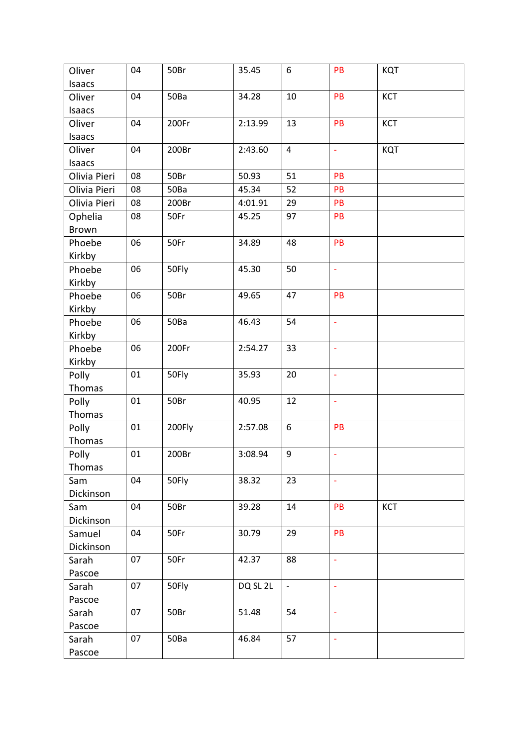| Oliver       | 04 | 50Br   | 35.45    | 6                | PB             | KQT        |
|--------------|----|--------|----------|------------------|----------------|------------|
| Isaacs       |    |        |          |                  |                |            |
| Oliver       | 04 | 50Ba   | 34.28    | 10               | PB             | <b>KCT</b> |
| Isaacs       |    |        |          |                  |                |            |
| Oliver       | 04 | 200Fr  | 2:13.99  | 13               | PB             | <b>KCT</b> |
| Isaacs       |    |        |          |                  |                |            |
| Oliver       | 04 | 200Br  | 2:43.60  | $\overline{4}$   | ÷,             | KQT        |
| Isaacs       |    |        |          |                  |                |            |
| Olivia Pieri | 08 | 50Br   | 50.93    | 51               | PB             |            |
| Olivia Pieri | 08 | 50Ba   | 45.34    | 52               | PB             |            |
| Olivia Pieri | 08 | 200Br  | 4:01.91  | 29               | PB             |            |
| Ophelia      | 08 | 50Fr   | 45.25    | 97               | PB             |            |
| Brown        |    |        |          |                  |                |            |
| Phoebe       | 06 | 50Fr   | 34.89    | 48               | PB             |            |
| Kirkby       |    |        |          |                  |                |            |
| Phoebe       | 06 | 50Fly  | 45.30    | 50               | ä,             |            |
| Kirkby       |    |        |          |                  |                |            |
| Phoebe       | 06 | 50Br   | 49.65    | 47               | PB             |            |
| Kirkby       |    |        |          |                  |                |            |
| Phoebe       | 06 | 50Ba   | 46.43    | 54               | ä,             |            |
| Kirkby       |    |        |          |                  |                |            |
| Phoebe       | 06 | 200Fr  | 2:54.27  | 33               | ÷,             |            |
| Kirkby       |    |        |          |                  |                |            |
| Polly        | 01 | 50Fly  | 35.93    | 20               | $\Box$         |            |
| Thomas       |    |        |          |                  |                |            |
| Polly        | 01 | 50Br   | 40.95    | 12               | ä,             |            |
| Thomas       |    |        |          |                  |                |            |
| Polly        | 01 | 200Fly | 2:57.08  | $\boldsymbol{6}$ | PB             |            |
| Thomas       |    |        |          |                  |                |            |
| Polly        | 01 | 200Br  | 3:08.94  | 9                | ä,             |            |
| Thomas       |    |        |          |                  |                |            |
| Sam          | 04 | 50Fly  | 38.32    | 23               | $\Box$         |            |
| Dickinson    |    |        |          |                  |                |            |
| Sam          | 04 | 50Br   | 39.28    | 14               | PB             | <b>KCT</b> |
| Dickinson    |    |        |          |                  |                |            |
| Samuel       | 04 | 50Fr   | 30.79    | 29               | PB             |            |
| Dickinson    |    |        |          |                  |                |            |
| Sarah        | 07 | 50Fr   | 42.37    | 88               | ÷,             |            |
| Pascoe       |    |        |          |                  |                |            |
| Sarah        | 07 | 50Fly  | DQ SL 2L | $\blacksquare$   | $\blacksquare$ |            |
| Pascoe       |    |        |          |                  |                |            |
| Sarah        | 07 | 50Br   | 51.48    | 54               | ÷,             |            |
| Pascoe       |    |        |          |                  |                |            |
| Sarah        | 07 | 50Ba   | 46.84    | 57               | ÷,             |            |
| Pascoe       |    |        |          |                  |                |            |